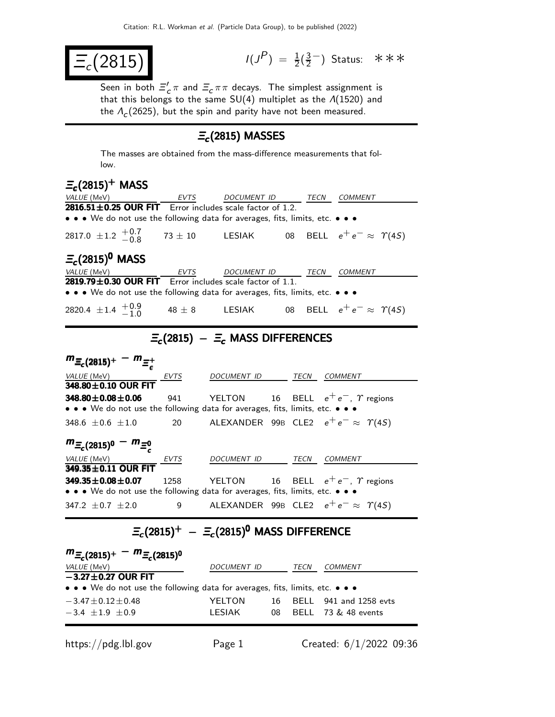$$
\boxed{\Xi_c(2815)}\qquad \qquad \text{if } \qquad
$$

 $P$ ) =  $\frac{1}{2}(\frac{3}{2})$  $\frac{3}{2}$  Status: ∗∗∗

Seen in both  $\Xi_c^{\prime}$  $c'_{c}\pi$  and  $\varXi_{c}\pi\pi$  decays. The simplest assignment is that this belongs to the same  $SU(4)$  multiplet as the  $\Lambda(1520)$  and the  $\Lambda_c(2625)$ , but the spin and parity have not been measured.

## $\Xi_c(2815)$  MASSES

The masses are obtained from the mass-difference measurements that follow.

### $\Xi_c(2815)^+$  MASS

| <i>VALUE</i> (MeV)                                                                                                    |      | EVTS DOCUMENT ID                                    |  | <i>TECN COMMENT</i>                                      |  |
|-----------------------------------------------------------------------------------------------------------------------|------|-----------------------------------------------------|--|----------------------------------------------------------|--|
| $2816.51 \pm 0.25$ OUR FIT Error includes scale factor of 1.2.                                                        |      |                                                     |  |                                                          |  |
| • • • We do not use the following data for averages, fits, limits, etc. • • •                                         |      |                                                     |  |                                                          |  |
| 2817.0 $\pm$ 1.2 $^{+0.7}_{-0.8}$                                                                                     |      |                                                     |  | $73 \pm 10$ LESIAK 08 BELL $e^+e^- \approx \Upsilon(4S)$ |  |
| $\Xi_c(2815)^0$ MASS                                                                                                  |      |                                                     |  |                                                          |  |
| $\frac{VALUE(NeV)}{2819.79 \pm 0.30}$ OUR FIT Error includes scale factor of 1.1. TECN COMMENT                        |      |                                                     |  |                                                          |  |
| • • • We do not use the following data for averages, fits, limits, etc. • • •                                         |      |                                                     |  |                                                          |  |
|                                                                                                                       |      |                                                     |  |                                                          |  |
| 2820.4 $\pm$ 1.4 $^{+0.9}_{-1.0}$                                                                                     |      |                                                     |  | 48 $\pm$ 8 LESIAK 08 BELL $e^+e^-\approx$ $\Upsilon(4S)$ |  |
|                                                                                                                       |      |                                                     |  |                                                          |  |
|                                                                                                                       |      | $\Xi_c(2815) - \Xi_c$ MASS DIFFERENCES              |  |                                                          |  |
|                                                                                                                       |      |                                                     |  |                                                          |  |
|                                                                                                                       |      |                                                     |  |                                                          |  |
| $m_{\Xi_c(2815)^+} - m_{\Xi_c^+}$                                                                                     |      |                                                     |  |                                                          |  |
|                                                                                                                       |      | DOCUMENT ID TECN COMMENT                            |  |                                                          |  |
| $\frac{VALUE (MeV)}{348.80 \pm 0.10}$ OUR FIT $\frac{EVTS}{T}$                                                        |      |                                                     |  |                                                          |  |
| 348.80 $\pm$ 0.08 $\pm$ 0.06                                                                                          |      |                                                     |  |                                                          |  |
| $\bullet \bullet \bullet$ We do not use the following data for averages, fits, limits, etc. $\bullet \bullet \bullet$ |      | 941 YELTON 16 BELL $e^+e^-$ , $\gamma$ regions      |  |                                                          |  |
|                                                                                                                       |      |                                                     |  |                                                          |  |
| 348.6 $\pm$ 0.6 $\pm$ 1.0                                                                                             |      | 20 ALEXANDER 99B CLE2 $e^+e^- \approx \Upsilon(4S)$ |  |                                                          |  |
| $m_{\Xi_c(2815)^0} - m_{\Xi_c^0}$                                                                                     |      |                                                     |  |                                                          |  |
| <i>VALUE</i> (MeV)                                                                                                    |      | DOCUMENT ID TECN COMMENT                            |  |                                                          |  |
| 349.35±0.11 OUR FIT                                                                                                   | EVTS |                                                     |  |                                                          |  |
| $349.35 \pm 0.08 \pm 0.07$                                                                                            |      | 1258 YELTON 16 BELL $e^+e^-$ , $\gamma$ regions     |  |                                                          |  |

347.2  $\pm$ 0.7  $\pm$ 2.0 9 ALEXANDER 99B CLE2  $e^+e^- \approx \Upsilon(4S)$ 

# $\Xi_c(2815)^+ - \Xi_c(2815)^0$  MASS DIFFERENCE

| $m_{\bar{z}_c(2815)^+} - m_{\bar{z}_c(2815)^0}$                               |             |      |      |                        |  |  |
|-------------------------------------------------------------------------------|-------------|------|------|------------------------|--|--|
| <i>VALUE</i> (MeV)                                                            | DOCUMENT ID |      | TECN | COMMENT                |  |  |
| $-3.27 \pm 0.27$ OUR FIT                                                      |             |      |      |                        |  |  |
| • • • We do not use the following data for averages, fits, limits, etc. • • • |             |      |      |                        |  |  |
| $-3.47 \pm 0.12 \pm 0.48$                                                     | YELTON      | 16 - |      | BELL 941 and 1258 evts |  |  |
| $-3.4$ + 1.9 + 0.9                                                            | LESIAK      | 08   |      | BELL 73 & 48 events    |  |  |
|                                                                               |             |      |      |                        |  |  |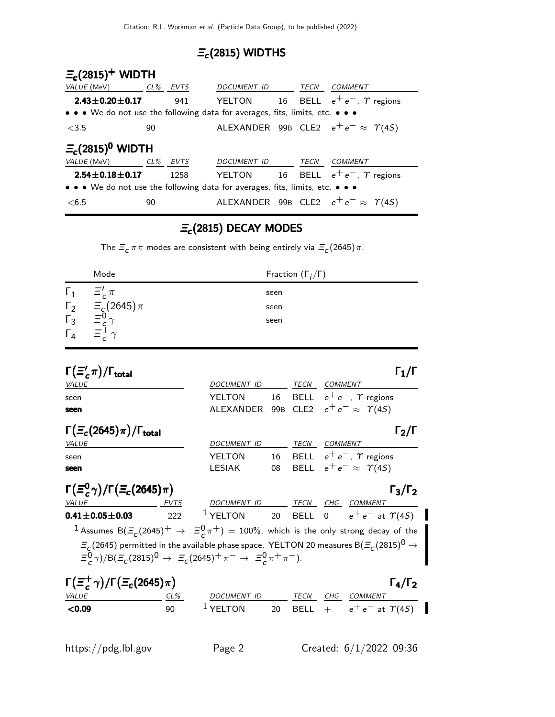#### $\Xi_c$ (2815) WIDTHS

| $E_c(2815)^+$ WIDTH                                                           |                       |      |                    |  |      |                                                  |  |  |
|-------------------------------------------------------------------------------|-----------------------|------|--------------------|--|------|--------------------------------------------------|--|--|
| VALUE (MeV) CL% EVTS                                                          |                       |      | DOCUMENT ID        |  | TECN | COMMENT                                          |  |  |
| $2.43 \pm 0.20 \pm 0.17$                                                      |                       | 941  | YELTON             |  |      | 16 BELL $e^+e^-$ , $\gamma$ regions              |  |  |
| • • • We do not use the following data for averages, fits, limits, etc. • • • |                       |      |                    |  |      |                                                  |  |  |
| < 3.5                                                                         | 90                    |      |                    |  |      | ALEXANDER 99B CLE2 $e^+e^- \approx \Upsilon(4S)$ |  |  |
|                                                                               | $\Xi_c(2815)^0$ WIDTH |      |                    |  |      |                                                  |  |  |
| CL% EVTS<br><i>VALUE</i> (MeV)                                                |                       |      | <b>DOCUMENT ID</b> |  | TECN | <i>COMMENT</i>                                   |  |  |
| $2.54 \pm 0.18 \pm 0.17$                                                      |                       | 1258 | YELTON             |  |      | 16 BELL $e^+e^-$ , $\gamma$ regions              |  |  |
| • • • We do not use the following data for averages, fits, limits, etc. • • • |                       |      |                    |  |      |                                                  |  |  |
| < 6.5                                                                         | 90                    |      |                    |  |      | ALEXANDER 99B CLE2 $e^+e^- \approx \Upsilon(45)$ |  |  |

#### $\Xi_c$ (2815) DECAY MODES

The  $\Xi_c \pi \pi$  modes are consistent with being entirely via  $\Xi_c (2645) \pi$ .

|              | Mode                                                                                           | Fraction $(\Gamma_i/\Gamma)$ |
|--------------|------------------------------------------------------------------------------------------------|------------------------------|
| $\Gamma_1$   | $\Xi_c^{\prime}$ $\pi$                                                                         | seen                         |
|              |                                                                                                | seen                         |
|              | $\begin{array}{cc} \Gamma_2 & \equiv_c (2645) \pi \\ \Gamma_3 & \equiv_c^0 \gamma \end{array}$ | seen                         |
| $\Gamma_{4}$ | $\Xi_c^+\gamma$                                                                                |                              |

| $\Gamma(\Xi'_{c}\pi)/\Gamma_{\rm total}$                                                                                                                                        |                                                  |    |                     |                                       | $\mathsf{\Gamma}_1/\mathsf{\Gamma}$  |
|---------------------------------------------------------------------------------------------------------------------------------------------------------------------------------|--------------------------------------------------|----|---------------------|---------------------------------------|--------------------------------------|
| <i>VALUE</i>                                                                                                                                                                    | <b>DOCUMENT ID</b>                               |    | TECN                | COMMENT                               |                                      |
| seen                                                                                                                                                                            | <b>YELTON</b>                                    | 16 | BELL                | $e^+e^-$ , $\gamma$ regions           |                                      |
| seen                                                                                                                                                                            | ALEXANDER 99B CLE2 $e^+e^- \approx \Upsilon(45)$ |    |                     |                                       |                                      |
| $\Gamma(\Xi_c(2645)\pi)/\Gamma_{\rm total}$                                                                                                                                     |                                                  |    |                     |                                       | $\Gamma_2/\Gamma$                    |
| <i>VALUE</i>                                                                                                                                                                    | <b>DOCUMENT ID</b>                               |    | TECN                | COMMENT                               |                                      |
| seen                                                                                                                                                                            | <b>YELTON</b>                                    | 16 |                     | BELL $e^+e^-$ , $\gamma$ regions      |                                      |
| seen                                                                                                                                                                            | <b>LESIAK</b>                                    |    |                     | 08 BELL $e^+e^- \approx \Upsilon(4S)$ |                                      |
| $\Gamma(\Xi_c^0 \gamma)/\Gamma(\Xi_c(2645)\pi)$                                                                                                                                 |                                                  |    |                     |                                       | $\Gamma_3/\Gamma_2$                  |
| <i>VALUE</i><br>EVTS                                                                                                                                                            | DOCUMENT ID TECN CHG COMMENT                     |    |                     |                                       |                                      |
| $0.41 \pm 0.05 \pm 0.03$<br>222                                                                                                                                                 | $1$ YELTON                                       |    |                     |                                       | 20 BELL 0 $e^+e^-$ at $\Upsilon(4S)$ |
| 1 Assumes B( $\Xi_c(2645)^+\rightarrow \Xi_c^0 \pi^+$ ) = 100%, which is the only strong decay of the                                                                           |                                                  |    |                     |                                       |                                      |
| $\Xi_c$ (2645) permitted in the available phase space. YELTON 20 measures B( $\Xi_c$ (2815) $^0\to$<br>$E_C^0(\gamma)/B(E_C(2815)^0 \to E_C(2645)^+\pi^- \to E_C^0\pi^+\pi^-).$ |                                                  |    |                     |                                       |                                      |
| $\Gamma(\Xi_c^+\gamma)/\Gamma(\Xi_c(2645)\pi)$                                                                                                                                  |                                                  |    |                     |                                       | $\Gamma_4/\Gamma_2$                  |
| <b>VALUE</b><br>CL%<br>90                                                                                                                                                       | DOCUMENT ID<br>$1$ YELTON                        |    | TECN<br><b>BELL</b> | CHG COMMENT                           | $+$ $e^+e^-$ at $\Upsilon(4S)$       |
| < 0.09                                                                                                                                                                          |                                                  | 20 |                     |                                       |                                      |